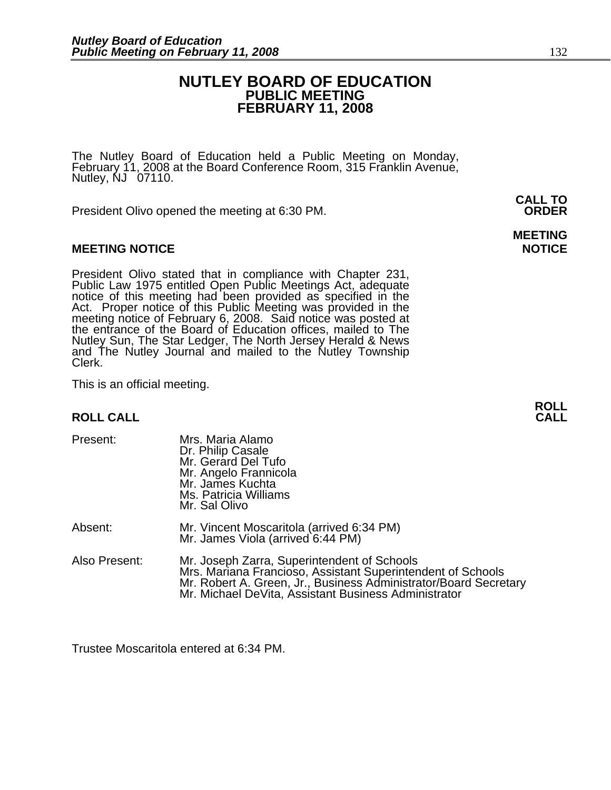## **NUTLEY BOARD OF EDUCATION PUBLIC MEETING FEBRUARY 11, 2008**

The Nutley Board of Education held a Public Meeting on Monday, February 11, 2008 at the Board Conference Room, 315 Franklin Avenue, Nutley, NJ 07110.

President Olivo opened the meeting at 6:30 PM. **ORDER**

## **MEETING NOTICE NOTICE**

President Olivo stated that in compliance with Chapter 231,<br>Public Law 1975 entitled Open Public Meetings Act, adequate<br>notice of this meeting had been provided as specified in the<br>Act. Proper notice of this Public Meeting the entrance of the Board of Education offices, mailed to The Nutley Sun, The Star Ledger, The North Jersey Herald & News and The Nutley Journal and mailed to the Nutley Township Clerk.

This is an official meeting.

## **ROLL CALL**

| Present:      | Mrs. Maria Alamo<br>Dr. Philip Casale<br>Mr. Gerard Del Tufo<br>Mr. Angelo Frannicola<br>Mr. James Kuchta<br>Ms. Patricia Williams<br>Mr. Sal Olivo                                                                                    |
|---------------|----------------------------------------------------------------------------------------------------------------------------------------------------------------------------------------------------------------------------------------|
| Absent:       | Mr. Vincent Moscaritola (arrived 6:34 PM)<br>Mr. James Viola (arrived 6:44 PM)                                                                                                                                                         |
| Also Present: | Mr. Joseph Zarra, Superintendent of Schools<br>Mrs. Mariana Francioso, Assistant Superintendent of Schools<br>Mr. Robert A. Green, Jr., Business Administrator/Board Secretary<br>Mr. Michael DeVita, Assistant Business Administrator |

Trustee Moscaritola entered at 6:34 PM.

# **MEETING**

**ROLL**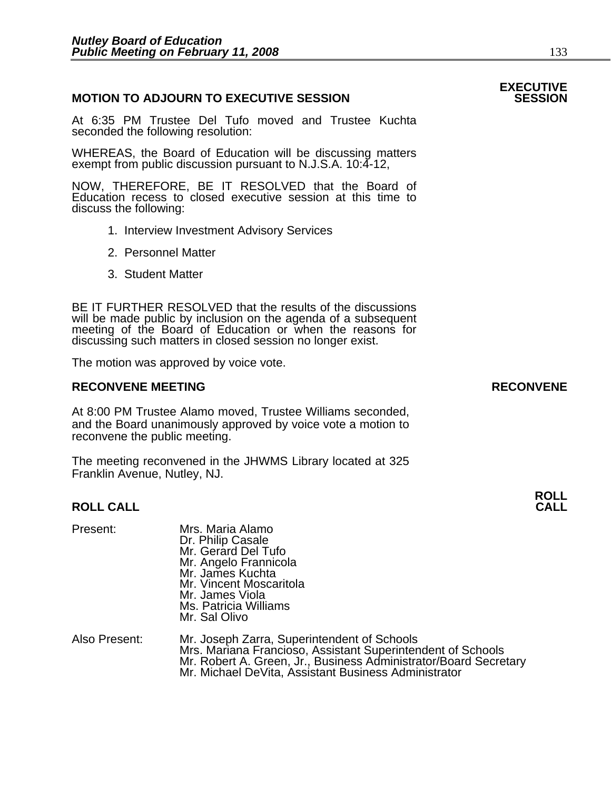## **MOTION TO ADJOURN TO EXECUTIVE SESSION**

At 6:35 PM Trustee Del Tufo moved and Trustee Kuchta seconded the following resolution:

WHEREAS, the Board of Education will be discussing matters exempt from public discussion pursuant to N.J.S.A. 10:4-12,

NOW, THEREFORE, BE IT RESOLVED that the Board of Education recess to closed executive session at this time to discuss the following:

- 1. Interview Investment Advisory Services
- 2. Personnel Matter
- 3. Student Matter

BE IT FURTHER RESOLVED that the results of the discussions will be made public by inclusion on the agenda of a subsequent meeting of the Board of Education or when the reasons for discussing such matters in closed session no longer exist.

The motion was approved by voice vote.

## **RECONVENE MEETING RECONVENE**

At 8:00 PM Trustee Alamo moved, Trustee Williams seconded, and the Board unanimously approved by voice vote a motion to reconvene the public meeting.

The meeting reconvened in the JHWMS Library located at 325 Franklin Avenue, Nutley, NJ.

## **ROLL CALL**

| Mrs. Maria Alamo                          |
|-------------------------------------------|
| Dr. Philip Casale<br>Mr. Gerard Del Tufo  |
|                                           |
| Mr. Angelo Frannicola<br>Mr. James Kuchta |
|                                           |
| Mr. Vincent Moscaritola                   |
| Mr. James Viola                           |
| Ms. Patricia Williams                     |
| Mr. Sal Olivo                             |
|                                           |
|                                           |

| Also Present: | Mr. Joseph Zarra, Superintendent of Schools                      |
|---------------|------------------------------------------------------------------|
|               | Mrs. Mariana Francioso, Assistant Superintendent of Schools      |
|               | Mr. Robert A. Green, Jr., Business Administrator/Board Secretary |
|               | Mr. Michael DeVita, Assistant Business Administrator             |

# **EXECUTIVE**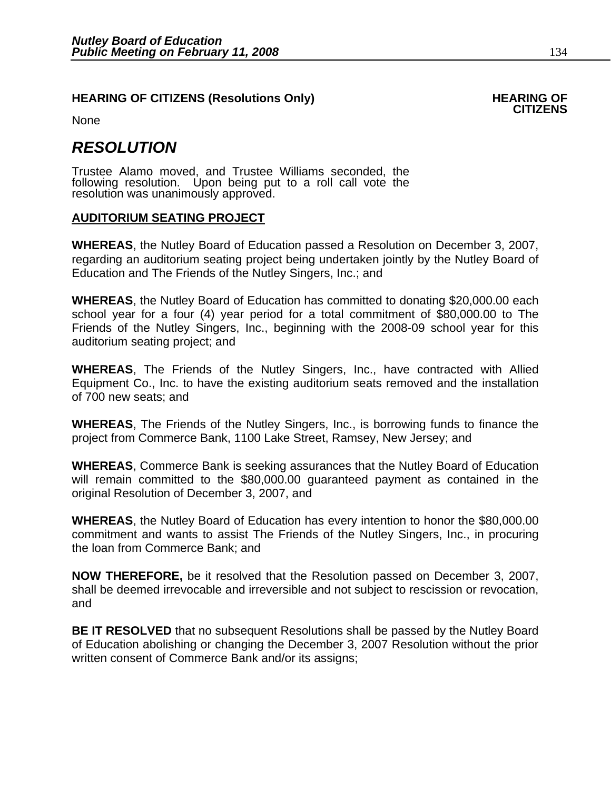## **HEARING OF CITIZENS (Resolutions Only) FRAMING OF CITIZENS**

None

## *RESOLUTION*

Trustee Alamo moved, and Trustee Williams seconded, the following resolution. Upon being put to a roll call vote the resolution was unanimously approved.

## **AUDITORIUM SEATING PROJECT**

**WHEREAS**, the Nutley Board of Education passed a Resolution on December 3, 2007, regarding an auditorium seating project being undertaken jointly by the Nutley Board of Education and The Friends of the Nutley Singers, Inc.; and

**WHEREAS**, the Nutley Board of Education has committed to donating \$20,000.00 each school year for a four (4) year period for a total commitment of \$80,000.00 to The Friends of the Nutley Singers, Inc., beginning with the 2008-09 school year for this auditorium seating project; and

**WHEREAS**, The Friends of the Nutley Singers, Inc., have contracted with Allied Equipment Co., Inc. to have the existing auditorium seats removed and the installation of 700 new seats; and

**WHEREAS**, The Friends of the Nutley Singers, Inc., is borrowing funds to finance the project from Commerce Bank, 1100 Lake Street, Ramsey, New Jersey; and

**WHEREAS**, Commerce Bank is seeking assurances that the Nutley Board of Education will remain committed to the \$80,000.00 guaranteed payment as contained in the original Resolution of December 3, 2007, and

**WHEREAS**, the Nutley Board of Education has every intention to honor the \$80,000.00 commitment and wants to assist The Friends of the Nutley Singers, Inc., in procuring the loan from Commerce Bank; and

**NOW THEREFORE,** be it resolved that the Resolution passed on December 3, 2007, shall be deemed irrevocable and irreversible and not subject to rescission or revocation, and

**BE IT RESOLVED** that no subsequent Resolutions shall be passed by the Nutley Board of Education abolishing or changing the December 3, 2007 Resolution without the prior written consent of Commerce Bank and/or its assigns;